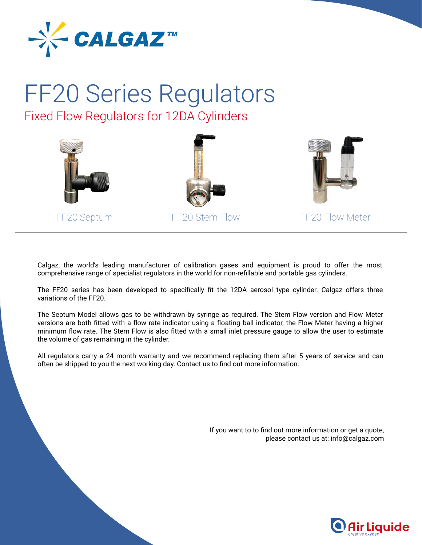

## FF20 Series Regulators Fixed Flow Regulators for 12DA Cylinders







FF20 Flow Meter

Calgaz, the world's leading manufacturer of calibration gases and equipment is proud to offer the most comprehensive range of specialist regulators in the world for non-refillable and portable gas cylinders.

- The FF20 series has been developed to specifically fit the 12DA aerosol type cylinder. Calgaz offers three variations of the FF20.

The Septum Model allows gas to be withdrawn by syringe as required. The Stem Flow version and Flow Meter versions are both fitted with a flow rate indicator using a floating ball indicator, the Flow Meter having a higher minimum flow rate. The Stem Flow is also fitted with a small inlet pressure gauge to allow the user to estimate the volume of gas remaining in the cylinder.

All regulators carry a 24 month warranty and we recommend replacing them after 5 years of service and can often be shipped to you the next working day. Contact us to find out more information.

> If you want to to find out more information or get a quote, please contact us at: info@calgaz.com